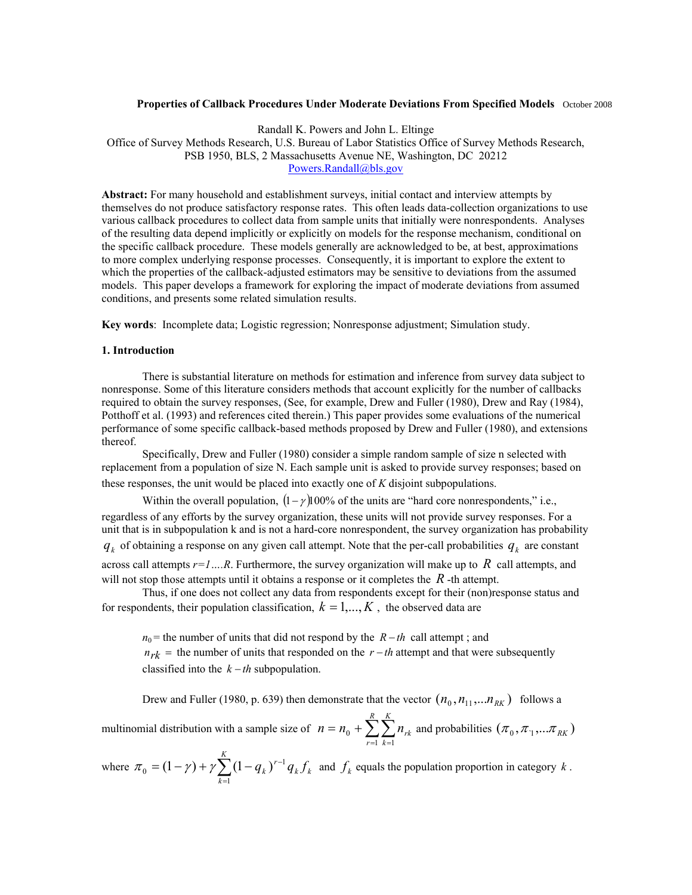### **Properties of Callback Procedures Under Moderate Deviations From Specified Models** October 2008

Randall K. Powers and John L. Eltinge

Office of Survey Methods Research, U.S. Bureau of Labor Statistics Office of Survey Methods Research, PSB 1950, BLS, 2 Massachusetts Avenue NE, Washington, DC 20212 Powers.Randall@bls.gov

**Abstract:** For many household and establishment surveys, initial contact and interview attempts by themselves do not produce satisfactory response rates. This often leads data-collection organizations to use various callback procedures to collect data from sample units that initially were nonrespondents. Analyses of the resulting data depend implicitly or explicitly on models for the response mechanism, conditional on the specific callback procedure. These models generally are acknowledged to be, at best, approximations to more complex underlying response processes. Consequently, it is important to explore the extent to which the properties of the callback-adjusted estimators may be sensitive to deviations from the assumed models. This paper develops a framework for exploring the impact of moderate deviations from assumed conditions, and presents some related simulation results.

**Key words**: Incomplete data; Logistic regression; Nonresponse adjustment; Simulation study.

#### **1. Introduction**

There is substantial literature on methods for estimation and inference from survey data subject to nonresponse. Some of this literature considers methods that account explicitly for the number of callbacks required to obtain the survey responses, (See, for example, Drew and Fuller (1980), Drew and Ray (1984), Potthoff et al. (1993) and references cited therein.) This paper provides some evaluations of the numerical performance of some specific callback-based methods proposed by Drew and Fuller (1980), and extensions thereof.

Specifically, Drew and Fuller (1980) consider a simple random sample of size n selected with replacement from a population of size N. Each sample unit is asked to provide survey responses; based on these responses, the unit would be placed into exactly one of *K* disjoint subpopulations.

Within the overall population,  $(1-\gamma)100\%$  of the units are "hard core nonrespondents," i.e., regardless of any efforts by the survey organization, these units will not provide survey responses. For a unit that is in subpopulation k and is not a hard-core nonrespondent, the survey organization has probability  $q_k$  of obtaining a response on any given call attempt. Note that the per-call probabilities  $q_k$  are constant across call attempts  $r=1...R$ . Furthermore, the survey organization will make up to  $R$  call attempts, and will not stop those attempts until it obtains a response or it completes the  $R$  -th attempt.

Thus, if one does not collect any data from respondents except for their (non)response status and for respondents, their population classification,  $k = 1,..., K$ , the observed data are

*n*<sub>0</sub> = the number of units that did not respond by the *R* − *th* call attempt ; and  $n_{rk}$  = the number of units that responded on the  $r - th$  attempt and that were subsequently classified into the  $k - th$  subpopulation.

Drew and Fuller (1980, p. 639) then demonstrate that the vector  $(n_0, n_{11}, ... n_{RK})$  follows a

multinomial distribution with a sample size of  $n = n_0 + \sum_{r=1}^{\infty} \sum_{k=1}^{\infty}$ *R r K k*  $n = n_{0} + \sum \sum n_{rk}$  $1 \; k = 1$  $\mathcal{L}_0 + \sum \sum n_{rk}$  and probabilities  $(\pi_0, \pi_1, ... \pi_{RK})$ 

where  $\pi_0 = (1 - \gamma) + \gamma \sum_{k=1}^{K} (1 - q_k)^{r-k}$ *k k k*  $(q_k)^{r-1}q_kf$ 1  $\pi_0 = (1 - \gamma) + \gamma \sum (1 - q_k)^{r-1} q_k f_k$  and  $f_k$  equals the population proportion in category *k*.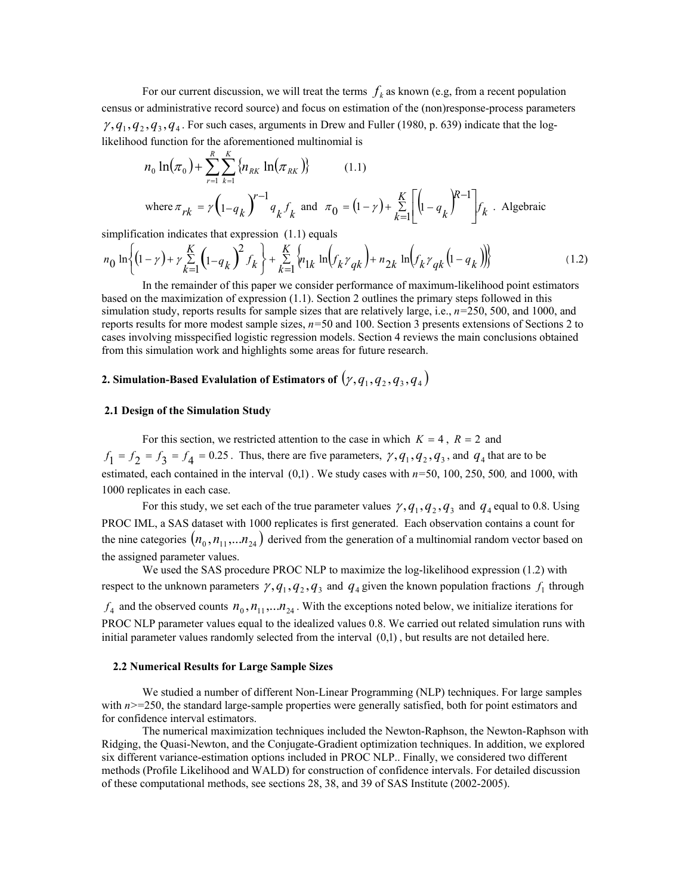For our current discussion, we will treat the terms  $f_k$  as known (e.g, from a recent population census or administrative record source) and focus on estimation of the (non)response-process parameters  $\gamma$ ,  $q_1$ ,  $q_2$ ,  $q_3$ ,  $q_4$ . For such cases, arguments in Drew and Fuller (1980, p. 639) indicate that the loglikelihood function for the aforementioned multinomial is

$$
n_0 \ln(\pi_0) + \sum_{r=1}^{R} \sum_{k=1}^{K} \{n_{RK} \ln(\pi_{RK})\}
$$
 (1.1)  
where  $\pi_{rk} = \gamma \left(1 - q_k\right)^{r-1} q_k f_k$  and  $\pi_0 = (1 - \gamma) + \sum_{k=1}^{K} \left[\left(1 - q_k\right)^{R-1}\right] f_k$ . Algebraic

simplification indicates that expression  $(1.1)$  equals

$$
n_0 \ln \left\{ (1 - \gamma) + \gamma \sum_{k=1}^K \left( 1 - q_k \right)^2 f_k \right\} + \sum_{k=1}^K \left\{ n_{1k} \ln \left( f_k \gamma_{qk} \right) + n_{2k} \ln \left( f_k \gamma_{qk} \left( 1 - q_k \right) \right) \right\}
$$
(1.2)

In the remainder of this paper we consider performance of maximum-likelihood point estimators based on the maximization of expression (1.1). Section 2 outlines the primary steps followed in this simulation study, reports results for sample sizes that are relatively large, i.e., *n=*250, 500, and 1000, and reports results for more modest sample sizes, *n=*50 and 100. Section 3 presents extensions of Sections 2 to cases involving misspecified logistic regression models. Section 4 reviews the main conclusions obtained from this simulation work and highlights some areas for future research.

# **2. Simulation-Based Evalulation of Estimators of**  $(\gamma, q_1, q_2, q_3, q_4)$

### **2.1 Design of the Simulation Study**

For this section, we restricted attention to the case in which  $K = 4$ ,  $R = 2$  and  $f_1 = f_2 = f_3 = f_4 = 0.25$ . Thus, there are five parameters,  $\gamma$ ,  $q_1$ ,  $q_2$ ,  $q_3$ , and  $q_4$  that are to be estimated, each contained in the interval (0,1) . We study cases with *n=*50, 100, 250, 500*,* and 1000, with 1000 replicates in each case.

For this study, we set each of the true parameter values  $\gamma$ ,  $q_1$ ,  $q_2$ ,  $q_3$  and  $q_4$  equal to 0.8. Using PROC IML, a SAS dataset with 1000 replicates is first generated. Each observation contains a count for the nine categories  $(n_0, n_{11}, ... n_{24})$  derived from the generation of a multinomial random vector based on the assigned parameter values.

We used the SAS procedure PROC NLP to maximize the log-likelihood expression (1.2) with respect to the unknown parameters  $\gamma$ ,  $q_1$ ,  $q_2$ ,  $q_3$  and  $q_4$  given the known population fractions  $f_1$  through  $f_4$  and the observed counts  $n_0$ ,  $n_{11}$ ,..., $n_{24}$ . With the exceptions noted below, we initialize iterations for PROC NLP parameter values equal to the idealized values 0.8. We carried out related simulation runs with initial parameter values randomly selected from the interval (0,1) , but results are not detailed here.

#### **2.2 Numerical Results for Large Sample Sizes**

We studied a number of different Non-Linear Programming (NLP) techniques. For large samples with  $n$  > = 250, the standard large-sample properties were generally satisfied, both for point estimators and for confidence interval estimators.

The numerical maximization techniques included the Newton-Raphson, the Newton-Raphson with Ridging, the Quasi-Newton, and the Conjugate-Gradient optimization techniques. In addition, we explored six different variance-estimation options included in PROC NLP.. Finally, we considered two different methods (Profile Likelihood and WALD) for construction of confidence intervals. For detailed discussion of these computational methods, see sections 28, 38, and 39 of SAS Institute (2002-2005).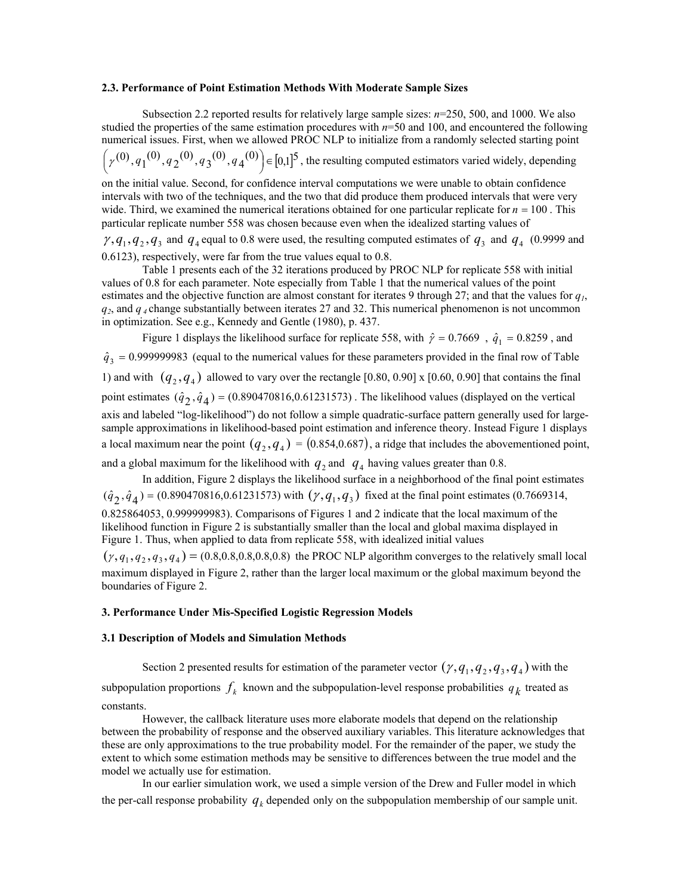#### **2.3. Performance of Point Estimation Methods With Moderate Sample Sizes**

 Subsection 2.2 reported results for relatively large sample sizes: *n*=250, 500, and 1000. We also studied the properties of the same estimation procedures with  $n=50$  and 100, and encountered the following numerical issues. First, when we allowed PROC NLP to initialize from a randomly selected starting point  $\left(\gamma^{(0)}, q_1^{(0)}, q_2^{(0)}, q_3^{(0)}, q_4^{(0)}\right) \in [0,1]^5$  $\left(\gamma^{(0)}, q_1^{(0)}, q_2^{(0)}, q_3^{(0)}, q_4^{(0)}\right) \in [0,1]^5$ , the resulting computed estimators varied widely, depending

on the initial value. Second, for confidence interval computations we were unable to obtain confidence intervals with two of the techniques, and the two that did produce them produced intervals that were very wide. Third, we examined the numerical iterations obtained for one particular replicate for *n* = 100 . This particular replicate number 558 was chosen because even when the idealized starting values of

 $\gamma$ ,  $q_1$ ,  $q_2$ ,  $q_3$  and  $q_4$  equal to 0.8 were used, the resulting computed estimates of  $q_3$  and  $q_4$  (0.9999 and 0.6123), respectively, were far from the true values equal to 0.8.

Table 1 presents each of the 32 iterations produced by PROC NLP for replicate 558 with initial values of 0.8 for each parameter. Note especially from Table 1 that the numerical values of the point estimates and the objective function are almost constant for iterates 9 through 27; and that the values for  $q_1$ , *q2*, and *q 4* change substantially between iterates 27 and 32. This numerical phenomenon is not uncommon in optimization. See e.g., Kennedy and Gentle (1980), p. 437.

Figure 1 displays the likelihood surface for replicate 558, with  $\hat{\gamma} = 0.7669$ ,  $\hat{q}_1 = 0.8259$ , and  $\hat{q}_3$  = 0.999999983 (equal to the numerical values for these parameters provided in the final row of Table 1) and with  $(q_2, q_4)$  allowed to vary over the rectangle [0.80, 0.90] x [0.60, 0.90] that contains the final point estimates  $(\hat{q}_2, \hat{q}_4)$  =  $(0.890470816, 0.61231573)$ . The likelihood values (displayed on the vertical axis and labeled "log-likelihood") do not follow a simple quadratic-surface pattern generally used for largesample approximations in likelihood-based point estimation and inference theory. Instead Figure 1 displays a local maximum near the point  $(q_2, q_4) = (0.854, 0.687)$ , a ridge that includes the abovementioned point, and a global maximum for the likelihood with  $q_2$  and  $q_4$  having values greater than 0.8.

In addition, Figure 2 displays the likelihood surface in a neighborhood of the final point estimates  $(\hat{q}_2, \hat{q}_4) = (0.890470816, 0.61231573)$  with  $(\gamma, q_1, q_3)$  fixed at the final point estimates (0.7669314, 0.825864053, 0.999999983). Comparisons of Figures 1 and 2 indicate that the local maximum of the likelihood function in Figure 2 is substantially smaller than the local and global maxima displayed in Figure 1. Thus, when applied to data from replicate 558, with idealized initial values

 $(\gamma, q_1, q_2, q_3, q_4) = (0.8, 0.8, 0.8, 0.8, 0.8)$  the PROC NLP algorithm converges to the relatively small local maximum displayed in Figure 2, rather than the larger local maximum or the global maximum beyond the boundaries of Figure 2.

## **3. Performance Under Mis-Specified Logistic Regression Models**

#### **3.1 Description of Models and Simulation Methods**

Section 2 presented results for estimation of the parameter vector  $(\gamma, q_1, q_2, q_3, q_4)$  with the subpopulation proportions  $f_k$  known and the subpopulation-level response probabilities  $q_k$  treated as constants.

However, the callback literature uses more elaborate models that depend on the relationship between the probability of response and the observed auxiliary variables. This literature acknowledges that these are only approximations to the true probability model. For the remainder of the paper, we study the extent to which some estimation methods may be sensitive to differences between the true model and the model we actually use for estimation.

In our earlier simulation work, we used a simple version of the Drew and Fuller model in which the per-call response probability  $q_k$  depended only on the subpopulation membership of our sample unit.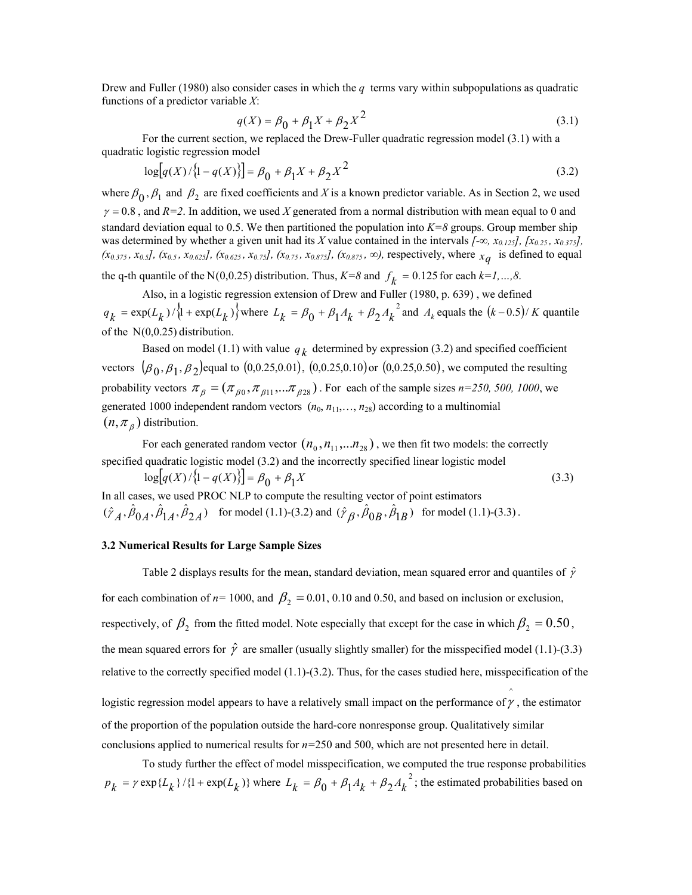Drew and Fuller (1980) also consider cases in which the *q* terms vary within subpopulations as quadratic functions of a predictor variable *X*:

$$
q(X) = \beta_0 + \beta_1 X + \beta_2 X^2
$$
 (3.1)

For the current section, we replaced the Drew-Fuller quadratic regression model (3.1) with a quadratic logistic regression model

$$
\log[q(X)/{1-q(X)}\] = \beta_0 + \beta_1 X + \beta_2 X^2
$$
\n(3.2)

where  $\beta_0$ ,  $\beta_1$  and  $\beta_2$  are fixed coefficients and *X* is a known predictor variable. As in Section 2, we used  $\gamma = 0.8$ , and  $R=2$ . In addition, we used *X* generated from a normal distribution with mean equal to 0 and standard deviation equal to 0.5. We then partitioned the population into  $K=8$  groups. Group member ship was determined by whether a given unit had its *X* value contained in the intervals *[-∞, x0.125], [x0.25 , x0.375],*   $(x_{0.375}, x_{0.5}]$ ,  $(x_{0.5}, x_{0.625}]$ ,  $(x_{0.625}, x_{0.75}]$ ,  $(x_{0.75}, x_{0.875}]$ ,  $(x_{0.875}, ∞)$ , respectively, where  $x_{\alpha}$  is defined to equal

the q-th quantile of the N(0,0.25) distribution. Thus,  $K=8$  and  $f_k = 0.125$  for each  $k=1,...,8$ .

Also, in a logistic regression extension of Drew and Fuller (1980, p. 639) , we defined  $q_k = \exp(L_k)/\left\{1 + \exp(L_k)\right\}$  where  $L_k = \beta_0 + \beta_1 A_k + \beta_2 A_k^2$  and  $A_k$  equals the  $(k-0.5)/K$  quantile of the Ν(0,0.25) distribution.

Based on model (1.1) with value  $q_k$  determined by expression (3.2) and specified coefficient vectors  $(\beta_0, \beta_1, \beta_2)$  equal to  $(0, 0.25, 0.01)$ ,  $(0, 0.25, 0.10)$  or  $(0, 0.25, 0.50)$ , we computed the resulting probability vectors  $\pi_{\beta} = (\pi_{\beta 0}, \pi_{\beta 11}, \dots \pi_{\beta 28})$ . For each of the sample sizes *n*=250, 500, 1000, we generated 1000 independent random vectors  $(n_0, n_{11}, \ldots, n_{28})$  according to a multinomial  $(n, \pi_{\beta})$  distribution.

For each generated random vector  $(n_0, n_{11}, \ldots, n_{28})$ , we then fit two models: the correctly specified quadratic logistic model (3.2) and the incorrectly specified linear logistic model

 $\log[q(X)/{1-q(X)}] = \beta_0 + \beta_1 X$  (3.3) In all cases, we used PROC NLP to compute the resulting vector of point estimators  $(\hat{\gamma}_A, \hat{\beta}_{0A}, \hat{\beta}_{1A}, \hat{\beta}_{2A})$  for model (1.1)-(3.2) and  $(\hat{\gamma}_B, \hat{\beta}_{0B}, \hat{\beta}_{1B})$  for model (1.1)-(3.3).

### **3.2 Numerical Results for Large Sample Sizes**

Table 2 displays results for the mean, standard deviation, mean squared error and quantiles of  $\hat{\gamma}$ for each combination of  $n= 1000$ , and  $\beta_2 = 0.01, 0.10$  and 0.50, and based on inclusion or exclusion, respectively, of  $\beta_2$  from the fitted model. Note especially that except for the case in which  $\beta_2 = 0.50$ , the mean squared errors for  $\hat{\gamma}$  are smaller (usually slightly smaller) for the misspecified model (1.1)-(3.3) relative to the correctly specified model  $(1.1)$ - $(3.2)$ . Thus, for the cases studied here, misspecification of the logistic regression model appears to have a relatively small impact on the performance of  $\gamma$ , the estimator ^ of the proportion of the population outside the hard-core nonresponse group. Qualitatively similar conclusions applied to numerical results for *n=*250 and 500, which are not presented here in detail.

To study further the effect of model misspecification, we computed the true response probabilities  $p_k = \gamma \exp\{L_k\}/\{1 + \exp(L_k)\}\$  where  $L_k = \beta_0 + \beta_1 A_k + \beta_2 A_k^2$ ; the estimated probabilities based on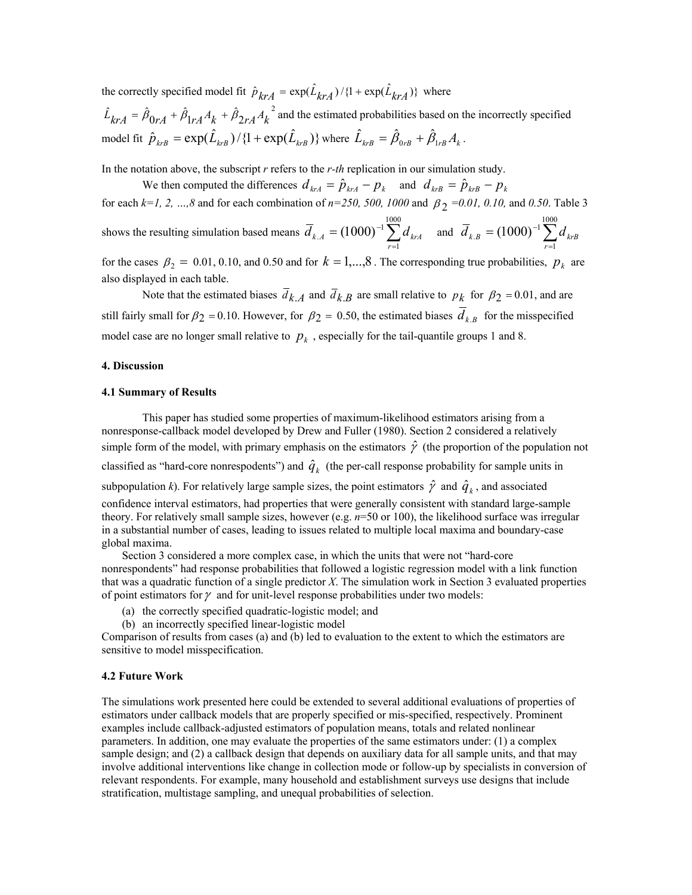the correctly specified model fit  $\hat{p}_{k r A} = \exp(\hat{L}_{k r A}) / \{1 + \exp(\hat{L}_{k r A})\}$  where

2  $\hat{L}_{kA} = \hat{\beta}_{0rA} + \hat{\beta}_{1rA}A_k + \hat{\beta}_{2rA}A_k^2$  and the estimated probabilities based on the incorrectly specified model fit  $\hat{p}_{krB} = \exp(\hat{L}_{krB}) / \{1 + \exp(\hat{L}_{krB})\}$  where  $\hat{L}_{krB} = \hat{\beta}_{0rB} + \hat{\beta}_{1rB}A_k$ .

In the notation above, the subscript *r* refers to the *r-th* replication in our simulation study.

We then computed the differences  $d_{k rA} = \hat{p}_{k rA} - p_k$  and  $d_{k rB} = \hat{p}_{k rB} - p_k$ 

for each  $k=1, 2, ..., 8$  and for each combination of  $n=250, 500, 1000$  and  $\beta_2 = 0.01, 0.10$ , and 0.50. Table 3

shows the resulting simulation based means  $\overline{d}_{k,A} = (1000)^{-1} \sum_{r=1}^{1000}$ 1  $_{A} = (1000)^{-1}$  $\overline{d}_{k,A} = (1000)^{-1} \sum_{r=1}^{1000} d_{krA}$  and  $\overline{d}_{k,B} = (1000)^{-1} \sum_{r=1}^{1000}$ 1  $_{B}=(1000)^{-1}$ *r*  $d_{k.B} = (1000)^{-1} \sum d_{krB}$ 

for the cases  $\beta_2 = 0.01, 0.10,$  and 0.50 and for  $k = 1,...,8$ . The corresponding true probabilities,  $p_k$  are also displayed in each table.

Note that the estimated biases  $\overline{d}_{k,A}$  and  $\overline{d}_{k,B}$  are small relative to  $p_k$  for  $\beta_2 = 0.01$ , and are still fairly small for  $\beta_2 = 0.10$ . However, for  $\beta_2 = 0.50$ , the estimated biases  $\overline{d}_{k,B}$  for the misspecified model case are no longer small relative to  $p_k$ , especially for the tail-quantile groups 1 and 8.

## **4. Discussion**

## **4.1 Summary of Results**

This paper has studied some properties of maximum-likelihood estimators arising from a nonresponse-callback model developed by Drew and Fuller (1980). Section 2 considered a relatively simple form of the model, with primary emphasis on the estimators  $\hat{\gamma}$  (the proportion of the population not classified as "hard-core nonrespodents") and  $\hat{q}_k$  (the per-call response probability for sample units in subpopulation *k*). For relatively large sample sizes, the point estimators  $\hat{\gamma}$  and  $\hat{q}_k$ , and associated confidence interval estimators, had properties that were generally consistent with standard large-sample theory. For relatively small sample sizes, however (e.g. *n*=50 or 100), the likelihood surface was irregular in a substantial number of cases, leading to issues related to multiple local maxima and boundary-case global maxima.

Section 3 considered a more complex case, in which the units that were not "hard-core nonrespondents" had response probabilities that followed a logistic regression model with a link function that was a quadratic function of a single predictor *X*. The simulation work in Section 3 evaluated properties of point estimators for  $\gamma$  and for unit-level response probabilities under two models:

- (a) the correctly specified quadratic-logistic model; and
- (b) an incorrectly specified linear-logistic model

Comparison of results from cases (a) and (b) led to evaluation to the extent to which the estimators are sensitive to model misspecification.

## **4.2 Future Work**

The simulations work presented here could be extended to several additional evaluations of properties of estimators under callback models that are properly specified or mis-specified, respectively. Prominent examples include callback-adjusted estimators of population means, totals and related nonlinear parameters. In addition, one may evaluate the properties of the same estimators under: (1) a complex sample design; and (2) a callback design that depends on auxiliary data for all sample units, and that may involve additional interventions like change in collection mode or follow-up by specialists in conversion of relevant respondents. For example, many household and establishment surveys use designs that include stratification, multistage sampling, and unequal probabilities of selection.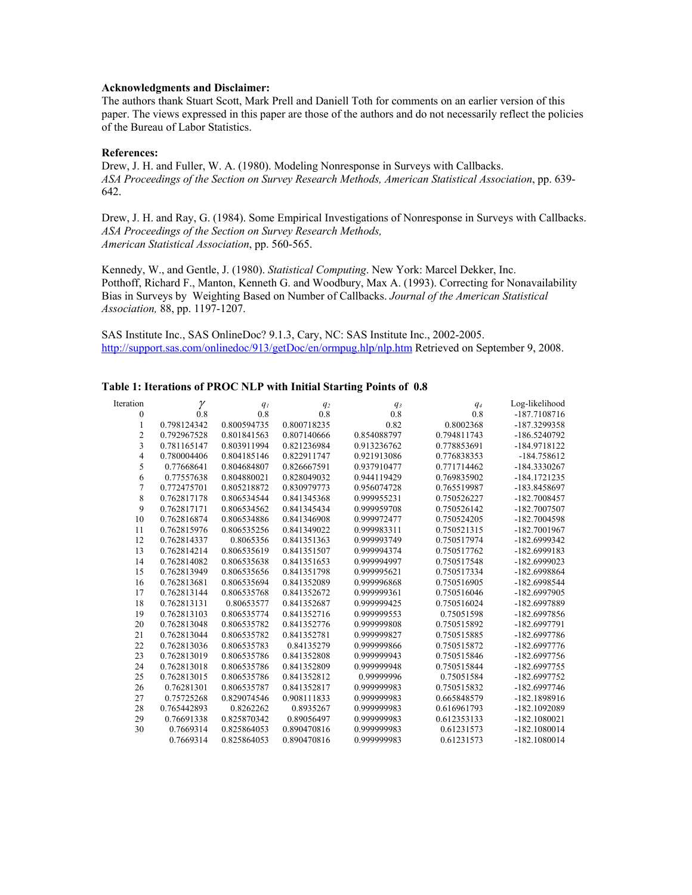## **Acknowledgments and Disclaimer:**

The authors thank Stuart Scott, Mark Prell and Daniell Toth for comments on an earlier version of this paper. The views expressed in this paper are those of the authors and do not necessarily reflect the policies of the Bureau of Labor Statistics.

#### **References:**

Drew, J. H. and Fuller, W. A. (1980). Modeling Nonresponse in Surveys with Callbacks. *ASA Proceedings of the Section on Survey Research Methods, American Statistical Association*, pp. 639- 642.

Drew, J. H. and Ray, G. (1984). Some Empirical Investigations of Nonresponse in Surveys with Callbacks. *ASA Proceedings of the Section on Survey Research Methods, American Statistical Association*, pp. 560-565.

Kennedy, W., and Gentle, J. (1980). *Statistical Computing*. New York: Marcel Dekker, Inc. Potthoff, Richard F., Manton, Kenneth G. and Woodbury, Max A. (1993). Correcting for Nonavailability Bias in Surveys by Weighting Based on Number of Callbacks. *Journal of the American Statistical Association,* 88, pp. 1197-1207.

SAS Institute Inc., SAS OnlineDoc? 9.1.3, Cary, NC: SAS Institute Inc., 2002-2005. http://support.sas.com/onlinedoc/913/getDoc/en/ormpug.hlp/nlp.htm Retrieved on September 9, 2008.

#### **Table 1: Iterations of PROC NLP with Initial Starting Points of 0.8**

| Iteration        | γ           | $q_I$       | q <sub>2</sub> | q <sub>3</sub> | $q_4$       | Log-likelihood |
|------------------|-------------|-------------|----------------|----------------|-------------|----------------|
| $\boldsymbol{0}$ | 0.8         | 0.8         | 0.8            | 0.8            | 0.8         | -187.7108716   |
| 1                | 0.798124342 | 0.800594735 | 0.800718235    | 0.82           | 0.8002368   | -187.3299358   |
| $\overline{c}$   | 0.792967528 | 0.801841563 | 0.807140666    | 0.854088797    | 0.794811743 | -186.5240792   |
| 3                | 0.781165147 | 0.803911994 | 0.821236984    | 0.913236762    | 0.778853691 | -184.9718122   |
| 4                | 0.780004406 | 0.804185146 | 0.822911747    | 0.921913086    | 0.776838353 | -184.758612    |
| 5                | 0.77668641  | 0.804684807 | 0.826667591    | 0.937910477    | 0.771714462 | -184.3330267   |
| 6                | 0.77557638  | 0.804880021 | 0.828049032    | 0.944119429    | 0.769835902 | $-184.1721235$ |
| 7                | 0.772475701 | 0.805218872 | 0.830979773    | 0.956074728    | 0.765519987 | -183.8458697   |
| 8                | 0.762817178 | 0.806534544 | 0.841345368    | 0.999955231    | 0.750526227 | -182.7008457   |
| 9                | 0.762817171 | 0.806534562 | 0.841345434    | 0.999959708    | 0.750526142 | -182.7007507   |
| 10               | 0.762816874 | 0.806534886 | 0.841346908    | 0.999972477    | 0.750524205 | -182.7004598   |
| 11               | 0.762815976 | 0.806535256 | 0.841349022    | 0.999983311    | 0.750521315 | -182.7001967   |
| 12               | 0.762814337 | 0.8065356   | 0.841351363    | 0.999993749    | 0.750517974 | -182.6999342   |
| 13               | 0.762814214 | 0.806535619 | 0.841351507    | 0.999994374    | 0.750517762 | -182.6999183   |
| 14               | 0.762814082 | 0.806535638 | 0.841351653    | 0.999994997    | 0.750517548 | -182.6999023   |
| 15               | 0.762813949 | 0.806535656 | 0.841351798    | 0.999995621    | 0.750517334 | -182.6998864   |
| 16               | 0.762813681 | 0.806535694 | 0.841352089    | 0.999996868    | 0.750516905 | -182.6998544   |
| 17               | 0.762813144 | 0.806535768 | 0.841352672    | 0.999999361    | 0.750516046 | -182.6997905   |
| 18               | 0.762813131 | 0.80653577  | 0.841352687    | 0.999999425    | 0.750516024 | -182.6997889   |
| 19               | 0.762813103 | 0.806535774 | 0.841352716    | 0.999999553    | 0.75051598  | -182.6997856   |
| 20               | 0.762813048 | 0.806535782 | 0.841352776    | 0.999999808    | 0.750515892 | -182.6997791   |
| 21               | 0.762813044 | 0.806535782 | 0.841352781    | 0.999999827    | 0.750515885 | -182.6997786   |
| 22               | 0.762813036 | 0.806535783 | 0.84135279     | 0.999999866    | 0.750515872 | $-182.6997776$ |
| 23               | 0.762813019 | 0.806535786 | 0.841352808    | 0.999999943    | 0.750515846 | -182.6997756   |
| 24               | 0.762813018 | 0.806535786 | 0.841352809    | 0.999999948    | 0.750515844 | -182.6997755   |
| 25               | 0.762813015 | 0.806535786 | 0.841352812    | 0.99999996     | 0.75051584  | -182.6997752   |
| 26               | 0.76281301  | 0.806535787 | 0.841352817    | 0.999999983    | 0.750515832 | -182.6997746   |
| 27               | 0.75725268  | 0.829074546 | 0.908111833    | 0.999999983    | 0.665848579 | -182.1898916   |
| 28               | 0.765442893 | 0.8262262   | 0.8935267      | 0.999999983    | 0.616961793 | -182.1092089   |
| 29               | 0.76691338  | 0.825870342 | 0.89056497     | 0.999999983    | 0.612353133 | $-182.1080021$ |
| 30               | 0.7669314   | 0.825864053 | 0.890470816    | 0.999999983    | 0.61231573  | $-182.1080014$ |
|                  | 0.7669314   | 0.825864053 | 0.890470816    | 0.999999983    | 0.61231573  | $-182.1080014$ |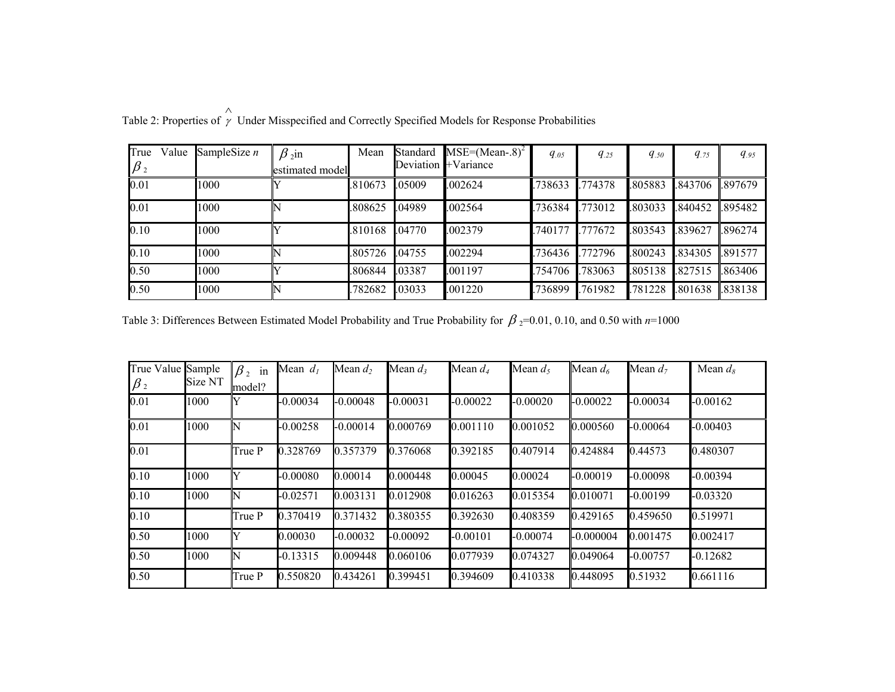| True<br>$\beta_2$ | Value | SampleSize $n$ | $\beta$ <sub>2</sub> in<br>estimated model | Mean    | Standard | $MSE=(Mean-8)^2$<br>Deviation <b>+Variance</b> | $q_{.05}$ | $q_{.25}$ | $q_{.50}$ | $q_{.75}$ | $q_{.95}$ |
|-------------------|-------|----------------|--------------------------------------------|---------|----------|------------------------------------------------|-----------|-----------|-----------|-----------|-----------|
| 0.01              |       | 1000           |                                            | .810673 | .05009   | .002624                                        | 738633    | .774378   | .805883   | .843706   | 897679    |
| 0.01              |       | 1000           |                                            | .808625 | .04989   | .002564                                        | .736384   | .773012   | .803033   | .840452   | .895482   |
| 0.10              |       | 1000           |                                            | .810168 | .04770   | .002379                                        | .740177   | .777672   | .803543   | .839627   | .896274   |
| 0.10              |       | 1000           |                                            | 805726  | .04755   | .002294                                        | .736436   | .772796   | .800243   | .834305   | 891577    |
| 0.50              |       | 1000           |                                            | .806844 | .03387   | .001197                                        | .754706   | .783063   | .805138   | .827515   | .863406   |
| 0.50              |       | 1000           |                                            | 782682  | .03033   | .001220                                        | .736899   | .761982   | .781228   | .801638   | .838138   |

Table 2: Properties of  $\hat{\gamma}$  Under Misspecified and Correctly Specified Models for Response Probabilities

Table 3: Differences Between Estimated Model Probability and True Probability for  $β_2=0.01, 0.10,$  and 0.50 with  $n=1000$ 

| True Value Sample<br>$\beta_2$ | Size NT | $\beta$ , in<br>model? | Mean $d_1$ | Mean $d_2$ | Mean $d_3$ | Mean $d_4$ | Mean $d_5$ | Mean $d_6$  | Mean $d_7$ | Mean $d_8$ |
|--------------------------------|---------|------------------------|------------|------------|------------|------------|------------|-------------|------------|------------|
| 0.01                           | 1000    |                        | $-0.00034$ | $-0.00048$ | $-0.00031$ | $-0.00022$ | $-0.00020$ | $-0.00022$  | $-0.00034$ | $-0.00162$ |
| 0.01                           | 1000    | N                      | $-0.00258$ | $-0.00014$ | 0.000769   | 0.001110   | 0.001052   | 0.000560    | $-0.00064$ | $-0.00403$ |
| 0.01                           |         | True P                 | 0.328769   | 0.357379   | 0.376068   | 0.392185   | 0.407914   | 0.424884    | 0.44573    | 0.480307   |
| 0.10                           | 1000    | Y                      | $-0.00080$ | 0.00014    | 0.000448   | 0.00045    | 0.00024    | $-0.00019$  | $-0.00098$ | $-0.00394$ |
| 0.10                           | 1000    | N                      | $-0.02571$ | 0.003131   | 0.012908   | 0.016263   | 0.015354   | 0.010071    | $-0.00199$ | $-0.03320$ |
| 0.10                           |         | True P                 | 0.370419   | 0.371432   | 0.380355   | 0.392630   | 0.408359   | 0.429165    | 0.459650   | 0.519971   |
| 0.50                           | 1000    | ıY                     | 0.00030    | $-0.00032$ | $-0.00092$ | $-0.00101$ | $-0.00074$ | $-0.000004$ | 0.001475   | 0.002417   |
| 0.50                           | 1000    | N                      | $-0.13315$ | 0.009448   | 0.060106   | 0.077939   | 0.074327   | 0.049064    | $-0.00757$ | $-0.12682$ |
| 0.50                           |         | True P                 | 0.550820   | 0.434261   | 0.399451   | 0.394609   | 0.410338   | 0.448095    | 0.51932    | 0.661116   |